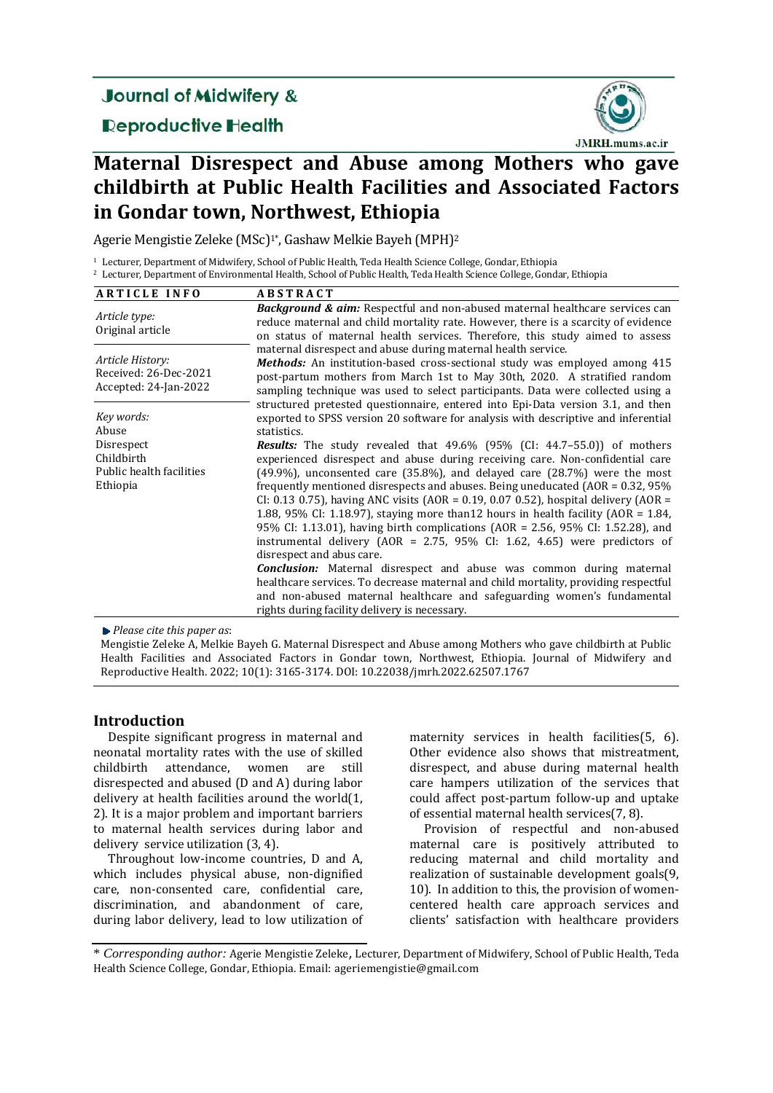## **Journal of Midwifery &**

## **Reproductive Health**



# **Maternal Disrespect and Abuse among Mothers who gave childbirth at Public Health Facilities and Associated Factors in Gondar town, Northwest, Ethiopia**

Agerie Mengistie Zeleke (MSc)<sup>1\*</sup>, Gashaw Melkie Bayeh (MPH)<sup>2</sup>

<sup>1</sup> Lecturer, Department of Midwifery, School of Public Health, Teda Health Science College, Gondar, Ethiopia <sup>2</sup> Lecturer, Department of Environmental Health, School of Public Health, Teda Health Science College, Gondar, Ethiopia

| <b>ARTICLE INFO</b>                                                                     | <b>ABSTRACT</b>                                                                                                                                                                                                                                                                                                                                                                                                                                                                                                                                                                                                                                                                                                                                                                                                                                                                                                                                                                                                                                                                                                                      |  |
|-----------------------------------------------------------------------------------------|--------------------------------------------------------------------------------------------------------------------------------------------------------------------------------------------------------------------------------------------------------------------------------------------------------------------------------------------------------------------------------------------------------------------------------------------------------------------------------------------------------------------------------------------------------------------------------------------------------------------------------------------------------------------------------------------------------------------------------------------------------------------------------------------------------------------------------------------------------------------------------------------------------------------------------------------------------------------------------------------------------------------------------------------------------------------------------------------------------------------------------------|--|
| Article type:<br>Original article                                                       | <b>Background &amp; aim:</b> Respectful and non-abused maternal healthcare services can<br>reduce maternal and child mortality rate. However, there is a scarcity of evidence<br>on status of maternal health services. Therefore, this study aimed to assess                                                                                                                                                                                                                                                                                                                                                                                                                                                                                                                                                                                                                                                                                                                                                                                                                                                                        |  |
| Article History:<br>Received: 26-Dec-2021<br>Accepted: 24-Jan-2022                      | maternal disrespect and abuse during maternal health service.<br><b>Methods:</b> An institution-based cross-sectional study was employed among 415<br>post-partum mothers from March 1st to May 30th, 2020. A stratified random<br>sampling technique was used to select participants. Data were collected using a<br>structured pretested questionnaire, entered into Epi-Data version 3.1, and then                                                                                                                                                                                                                                                                                                                                                                                                                                                                                                                                                                                                                                                                                                                                |  |
| Key words:<br>Abuse<br>Disrespect<br>Childbirth<br>Public health facilities<br>Ethiopia | exported to SPSS version 20 software for analysis with descriptive and inferential<br>statistics.<br><b>Results:</b> The study revealed that 49.6% (95% (CI: 44.7–55.0)) of mothers<br>experienced disrespect and abuse during receiving care. Non-confidential care<br>$(49.9\%)$ , unconsented care $(35.8\%)$ , and delayed care $(28.7\%)$ were the most<br>frequently mentioned disrespects and abuses. Being uneducated $(AOR = 0.32, 95\%)$<br>CI: 0.13 0.75), having ANC visits (AOR = 0.19, 0.07 0.52), hospital delivery (AOR =<br>1.88, 95% CI: 1.18.97), staying more than 12 hours in health facility (AOR = $1.84$ ,<br>95% CI: 1.13.01), having birth complications (AOR = 2.56, 95% CI: 1.52.28), and<br>instrumental delivery (AOR = $2.75$ , 95% CI: 1.62, 4.65) were predictors of<br>disrespect and abus care.<br><b>Conclusion:</b> Maternal disrespect and abuse was common during maternal<br>healthcare services. To decrease maternal and child mortality, providing respectful<br>and non-abused maternal healthcare and safeguarding women's fundamental<br>rights during facility delivery is necessary. |  |

*Please cite this paper as*: 

Mengistie Zeleke A, Melkie Bayeh G. Maternal Disrespect and Abuse among Mothers who gave childbirth at Public Health Facilities and Associated Factors in Gondar town, Northwest, Ethiopia. Journal of Midwifery and Reproductive Health. 2022; 10(1): 3165-3174. DOI: 10.22038/jmrh.2022.62507.1767

## **Introduction**

Despite significant progress in maternal and neonatal mortality rates with the use of skilled childbirth attendance, women are still disrespected and abused (D and A) during labor delivery at health facilities around the world $(1, 1)$ 2). It is a major problem and important barriers to maternal health services during labor and delivery service utilization  $(3, 4)$ .

Throughout low-income countries, D and A, which includes physical abuse, non-dignified care, non-consented care, confidential care, discrimination, and abandonment of care, during labor delivery, lead to low utilization of maternity services in health facilities(5, 6). Other evidence also shows that mistreatment, disrespect, and abuse during maternal health care hampers utilization of the services that could affect post-partum follow-up and uptake of essential maternal health services(7, 8).

Provision of respectful and non-abused maternal care is positively attributed to reducing maternal and child mortality and realization of sustainable development goals(9, 10). In addition to this, the provision of womencentered health care approach services and clients' satisfaction with healthcare providers 

<sup>\*</sup> *Corresponding author:* Agerie Mengistie Zeleke, Lecturer, Department of Midwifery, School of Public Health, Teda Health Science College, Gondar, Ethiopia. Email: ageriemengistie@gmail.com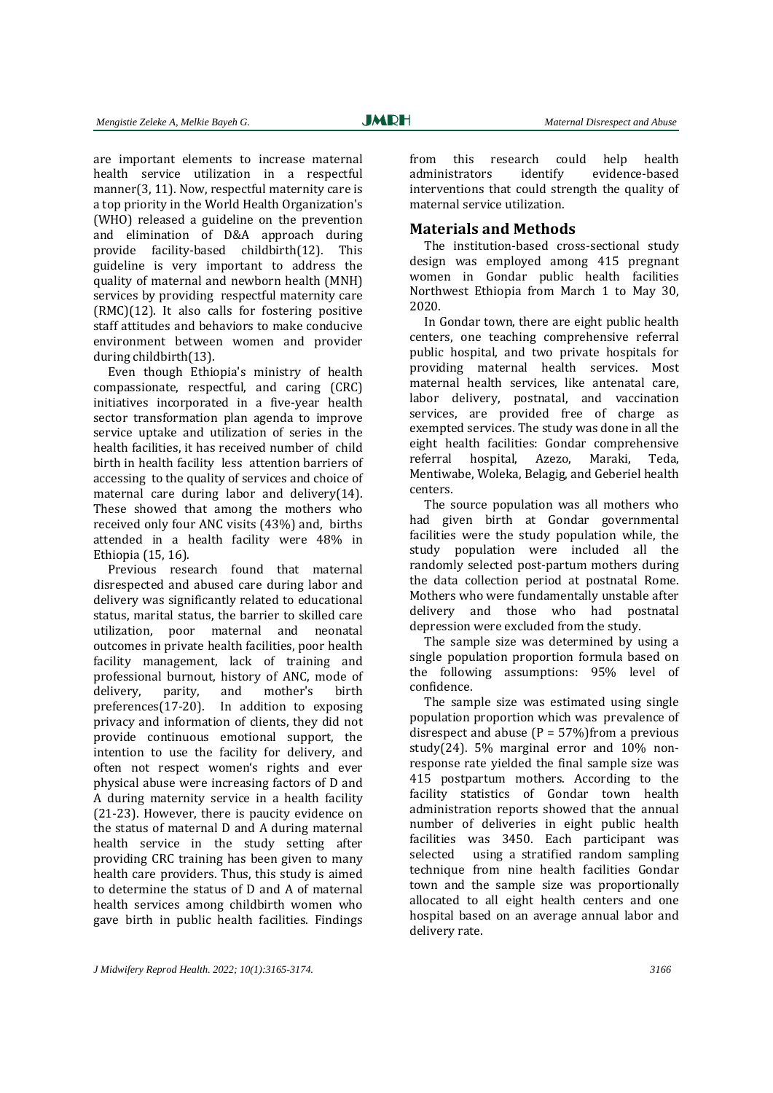are important elements to increase maternal health service utilization in a respectful manner(3, 11). Now, respectful maternity care is a top priority in the World Health Organization's (WHO) released a guideline on the prevention and elimination of D&A approach during provide facility-based childbirth(12). This guideline is very important to address the quality of maternal and newborn health (MNH) services by providing respectful maternity care  $(RMC)(12)$ . It also calls for fostering positive staff attitudes and behaviors to make conducive environment between women and provider during childbirth(13).

Even though Ethiopia's ministry of health compassionate, respectful, and caring (CRC) initiatives incorporated in a five-year health sector transformation plan agenda to improve service uptake and utilization of series in the health facilities, it has received number of child birth in health facility less attention barriers of accessing to the quality of services and choice of maternal care during labor and delivery $(14)$ . These showed that among the mothers who received only four ANC visits  $(43%)$  and, births attended in a health facility were 48% in Ethiopia (15, 16).

Previous research found that maternal disrespected and abused care during labor and delivery was significantly related to educational status, marital status, the barrier to skilled care utilization, poor maternal and neonatal outcomes in private health facilities, poor health facility management, lack of training and professional burnout, history of ANC, mode of delivery, parity, and mother's birth  $preferences(17-20)$ . In addition to exposing privacy and information of clients, they did not provide continuous emotional support, the intention to use the facility for delivery, and often not respect women's rights and ever physical abuse were increasing factors of D and A during maternity service in a health facility  $(21-23)$ . However, there is paucity evidence on the status of maternal D and A during maternal health service in the study setting after providing CRC training has been given to many health care providers. Thus, this study is aimed to determine the status of D and A of maternal health services among childbirth women who gave birth in public health facilities. Findings

from this research could help health administrators identify evidence-based interventions that could strength the quality of maternal service utilization.

### **Materials and Methods**

The institution-based cross-sectional study design was employed among 415 pregnant women in Gondar public health facilities Northwest Ethiopia from March 1 to May 30, 2020.

In Gondar town, there are eight public health centers, one teaching comprehensive referral public hospital, and two private hospitals for providing maternal health services. Most maternal health services, like antenatal care, labor delivery, postnatal, and vaccination services, are provided free of charge as exempted services. The study was done in all the eight health facilities: Gondar comprehensive referral hospital, Azezo, Maraki, Teda, Mentiwabe, Woleka, Belagig, and Geberiel health centers. 

The source population was all mothers who had given birth at Gondar governmental facilities were the study population while, the study population were included all the randomly selected post-partum mothers during the data collection period at postnatal Rome. Mothers who were fundamentally unstable after delivery and those who had postnatal depression were excluded from the study.

The sample size was determined by using a single population proportion formula based on the following assumptions: 95% level of confidence. 

The sample size was estimated using single population proportion which was prevalence of disrespect and abuse ( $P = 57\%$ )from a previous study(24).  $5\%$  marginal error and  $10\%$  nonresponse rate yielded the final sample size was 415 postpartum mothers. According to the facility statistics of Gondar town health administration reports showed that the annual number of deliveries in eight public health facilities was 3450. Each participant was selected using a stratified random sampling technique from nine health facilities Gondar town and the sample size was proportionally allocated to all eight health centers and one hospital based on an average annual labor and delivery rate.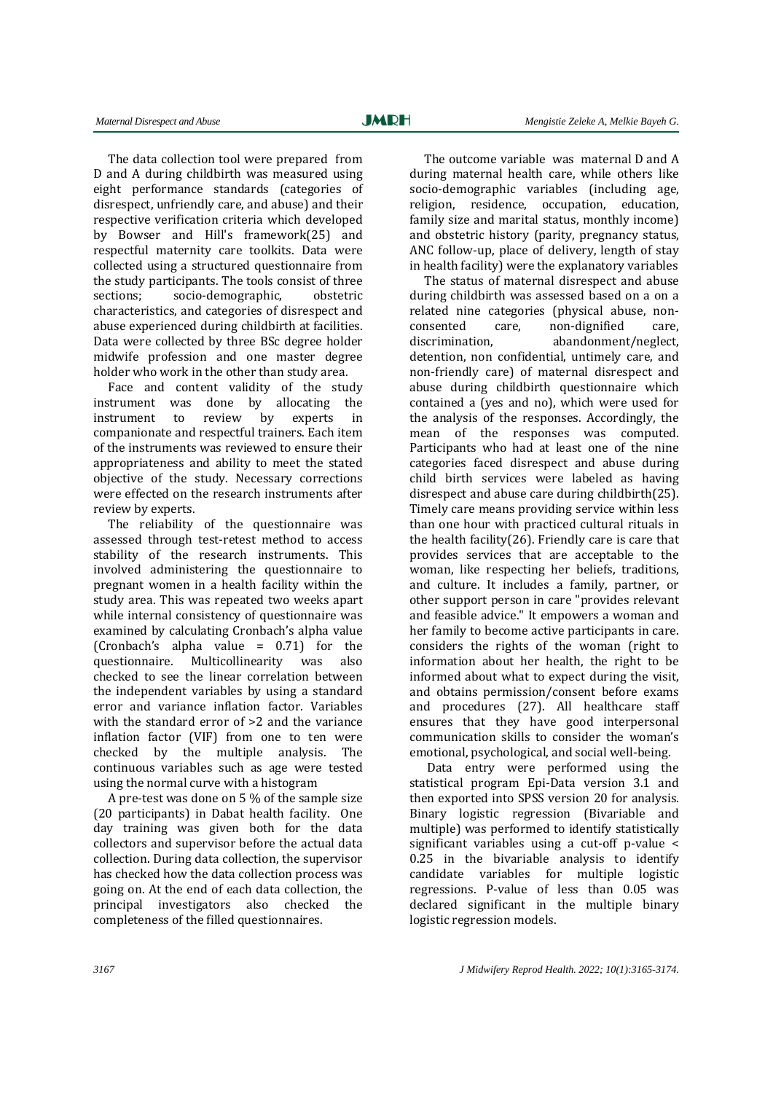The data collection tool were prepared from D and A during childbirth was measured using eight performance standards (categories of disrespect, unfriendly care, and abuse) and their respective verification criteria which developed by Bowser and Hill's framework(25) and respectful maternity care toolkits. Data were collected using a structured questionnaire from the study participants. The tools consist of three sections; socio-demographic, obstetric characteristics, and categories of disrespect and abuse experienced during childbirth at facilities. Data were collected by three BSc degree holder midwife profession and one master degree holder who work in the other than study area.

Face and content validity of the study instrument was done by allocating the instrument to review by experts in companionate and respectful trainers. Each item of the instruments was reviewed to ensure their appropriateness and ability to meet the stated objective of the study. Necessary corrections were effected on the research instruments after review by experts.

The reliability of the questionnaire was assessed through test-retest method to access stability of the research instruments. This involved administering the questionnaire to pregnant women in a health facility within the study area. This was repeated two weeks apart while internal consistency of questionnaire was examined by calculating Cronbach's alpha value (Cronbach's alpha value  $=$  0.71) for the questionnaire. Multicollinearity was also checked to see the linear correlation between the independent variables by using a standard error and variance inflation factor. Variables with the standard error of  $>2$  and the variance inflation factor (VIF) from one to ten were checked by the multiple analysis. The continuous variables such as age were tested using the normal curve with a histogram

A pre-test was done on 5  $%$  of the sample size (20 participants) in Dabat health facility. One day training was given both for the data collectors and supervisor before the actual data collection. During data collection, the supervisor has checked how the data collection process was going on. At the end of each data collection, the principal investigators also checked the completeness of the filled questionnaires.

The outcome variable was maternal D and A during maternal health care, while others like socio-demographic variables (including age, religion, residence, occupation, education, family size and marital status, monthly income) and obstetric history (parity, pregnancy status, ANC follow-up, place of delivery, length of stay in health facility) were the explanatory variables

The status of maternal disrespect and abuse during childbirth was assessed based on a on a related nine categories (physical abuse, nonconsented care, non-dignified care, discrimination, abandonment/neglect, detention, non confidential, untimely care, and non-friendly care) of maternal disrespect and abuse during childbirth questionnaire which contained a (yes and no), which were used for the analysis of the responses. Accordingly, the mean of the responses was computed. Participants who had at least one of the nine categories faced disrespect and abuse during child birth services were labeled as having disrespect and abuse care during childbirth $(25)$ . Timely care means providing service within less than one hour with practiced cultural rituals in the health facility( $26$ ). Friendly care is care that provides services that are acceptable to the woman, like respecting her beliefs, traditions, and culture. It includes a family, partner, or other support person in care "provides relevant and feasible advice." It empowers a woman and her family to become active participants in care. considers the rights of the woman (right to information about her health, the right to be informed about what to expect during the visit. and obtains permission/consent before exams and procedures (27). All healthcare staff ensures that they have good interpersonal communication skills to consider the woman's emotional, psychological, and social well-being.

Data entry were performed using the statistical program Epi-Data version 3.1 and then exported into SPSS version 20 for analysis. Binary logistic regression (Bivariable and multiple) was performed to identify statistically significant variables using a cut-off p-value  $\leq$ 0.25 in the bivariable analysis to identify candidate variables for multiple logistic regressions. P-value of less than 0.05 was declared significant in the multiple binary logistic regression models.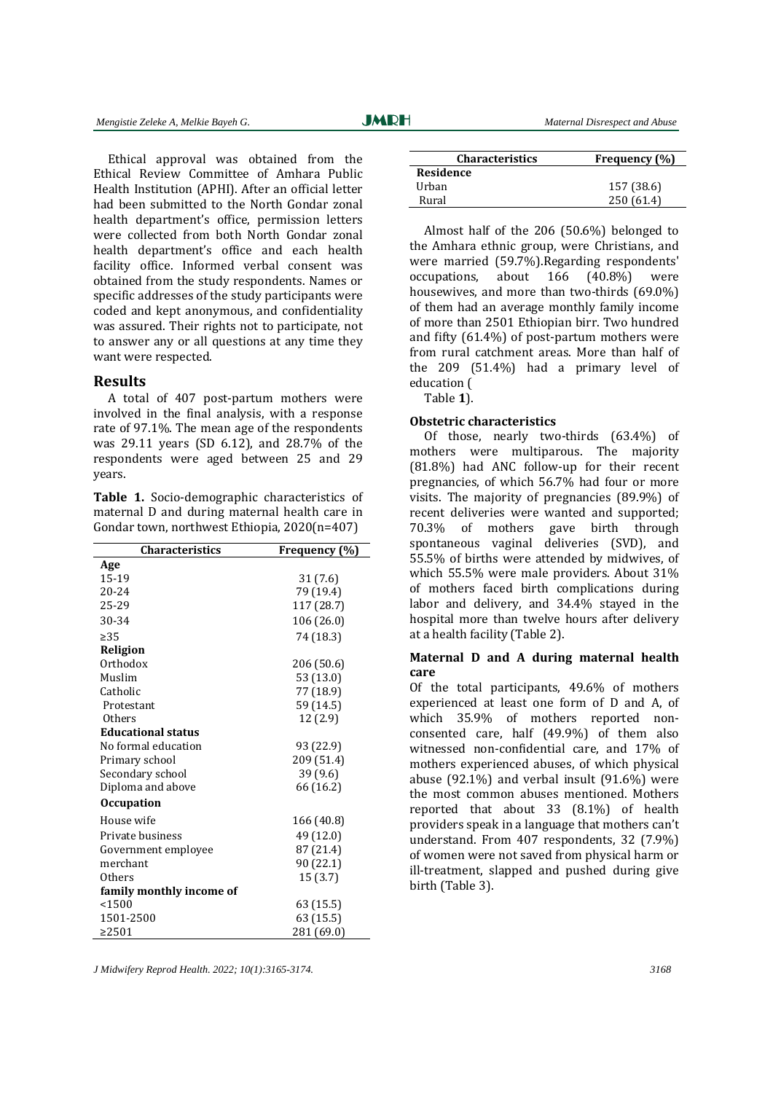Ethical approval was obtained from the Ethical Review Committee of Amhara Public Health Institution (APHI). After an official letter had been submitted to the North Gondar zonal health department's office, permission letters were collected from both North Gondar zonal health department's office and each health facility office. Informed verbal consent was obtained from the study respondents. Names or specific addresses of the study participants were coded and kept anonymous, and confidentiality was assured. Their rights not to participate, not to answer any or all questions at any time they want were respected.

#### **Results**

A total of 407 post-partum mothers were involved in the final analysis, with a response rate of 97.1%. The mean age of the respondents was  $29.11$  years (SD 6.12), and  $28.7\%$  of the respondents were aged between 25 and 29 years. 

Table 1. Socio-demographic characteristics of maternal D and during maternal health care in Gondar town, northwest Ethiopia,  $2020(n=407)$ 

| <b>Characteristics</b>         | Frequency (%) |  |  |
|--------------------------------|---------------|--|--|
| Age                            |               |  |  |
| 15-19                          | 31 (7.6)      |  |  |
| $20 - 24$                      | 79 (19.4)     |  |  |
| 25-29                          | 117 (28.7)    |  |  |
| 30-34                          | 106 (26.0)    |  |  |
| $\geq$ 35                      | 74 (18.3)     |  |  |
| <b>Religion</b>                |               |  |  |
| Orthodox                       | 206 (50.6)    |  |  |
| Muslim                         | 53 (13.0)     |  |  |
| Catholic                       | 77 (18.9)     |  |  |
| Protestant                     | 59 (14.5)     |  |  |
| <b>Others</b>                  | 12 (2.9)      |  |  |
| <b>Educational status</b>      |               |  |  |
| No formal education            | 93 (22.9)     |  |  |
| Primary school                 | 209 (51.4)    |  |  |
| Secondary school               | 39 (9.6)      |  |  |
| 66 (16.2)<br>Diploma and above |               |  |  |
| <b>Occupation</b>              |               |  |  |
| House wife                     | 166 (40.8)    |  |  |
| Private business               | 49 (12.0)     |  |  |
| Government employee            | 87 (21.4)     |  |  |
| merchant                       | 90 (22.1)     |  |  |
| Others                         | 15(3.7)       |  |  |
| family monthly income of       |               |  |  |
| < 1500                         | 63 (15.5)     |  |  |
| 1501-2500                      | 63 (15.5)     |  |  |
| >2501                          | 281 (69.0)    |  |  |

| <b>Characteristics</b> | Frequency (%) |
|------------------------|---------------|
| <b>Residence</b>       |               |
| Urban                  | 157 (38.6)    |
| Rural                  | 250 (61.4)    |

Almost half of the  $206$  (50.6%) belonged to the Amhara ethnic group, were Christians, and were married (59.7%).Regarding respondents' occupations, about 166 (40.8%) were housewives, and more than two-thirds  $(69.0\%)$ of them had an average monthly family income of more than 2501 Ethiopian birr. Two hundred and fifty  $(61.4\%)$  of post-partum mothers were from rural catchment areas. More than half of the  $209$   $(51.4\%)$  had a primary level of education (

Table **1**). 

#### **Obstetric characteristics**

Of those, nearly two-thirds  $(63.4\%)$  of mothers were multiparous. The majority (81.8%) had ANC follow-up for their recent pregnancies, of which  $56.7\%$  had four or more visits. The majority of pregnancies  $(89.9\%)$  of recent deliveries were wanted and supported; 70.3% of mothers gave birth through spontaneous vaginal deliveries (SVD), and 55.5% of births were attended by midwives, of which 55.5% were male providers. About 31% of mothers faced birth complications during labor and delivery, and 34.4% stayed in the hospital more than twelve hours after delivery at a health facility (Table 2).

#### **Maternal D and A during maternal health care**

Of the total participants, 49.6% of mothers experienced at least one form of D and A, of which 35.9% of mothers reported nonconsented care, half (49.9%) of them also witnessed non-confidential care, and 17% of mothers experienced abuses, of which physical abuse  $(92.1\%)$  and verbal insult  $(91.6\%)$  were the most common abuses mentioned. Mothers reported that about  $33$   $(8.1\%)$  of health providers speak in a language that mothers can't understand. From 407 respondents, 32 (7.9%) of women were not saved from physical harm or ill-treatment, slapped and pushed during give birth (Table 3).

*J Midwifery Reprod Health. 2022; 10(1):3165-3174. 3168*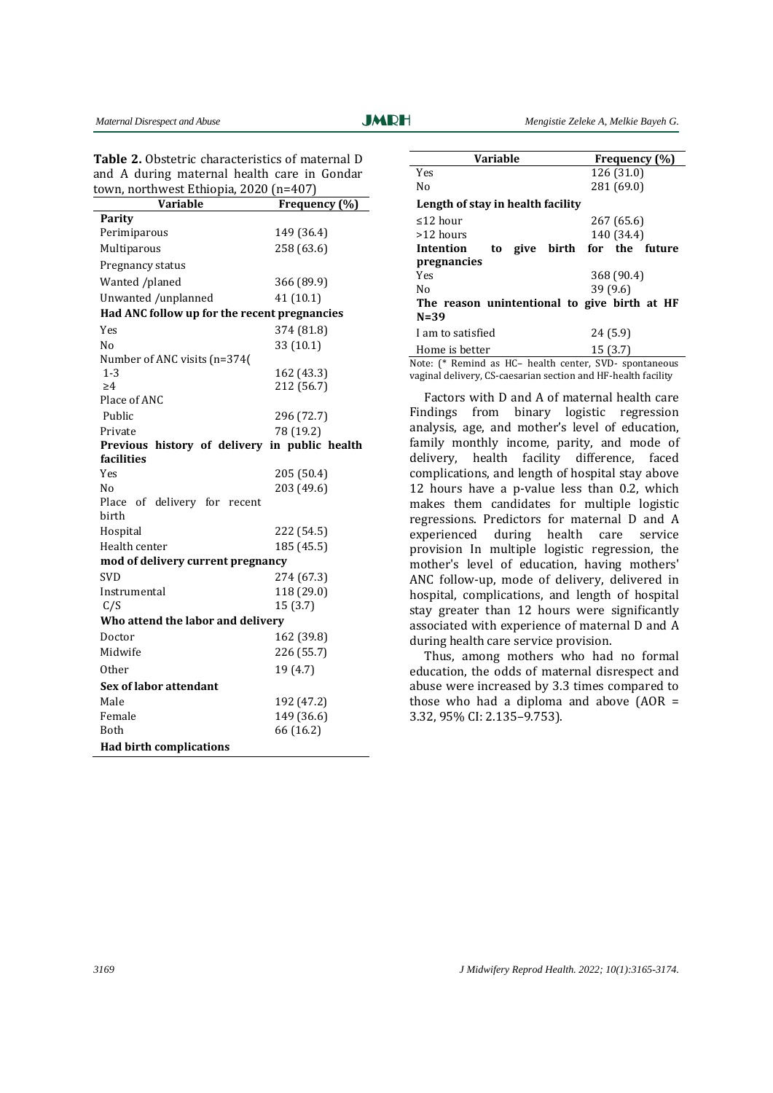| Table 2. Obstetric characteristics of maternal D |  |  |  |  |
|--------------------------------------------------|--|--|--|--|
| and A during maternal health care in Gondar      |  |  |  |  |
| town, northwest Ethiopia, 2020 (n=407)           |  |  |  |  |

| Variable                                      | Frequency (%) |  |  |
|-----------------------------------------------|---------------|--|--|
| Parity                                        |               |  |  |
| Perimiparous                                  | 149 (36.4)    |  |  |
| Multiparous                                   | 258 (63.6)    |  |  |
| Pregnancy status                              |               |  |  |
| Wanted /planed                                | 366 (89.9)    |  |  |
| Unwanted /unplanned                           | 41(10.1)      |  |  |
| Had ANC follow up for the recent pregnancies  |               |  |  |
| <b>Yes</b>                                    | 374 (81.8)    |  |  |
| N <sub>0</sub>                                | 33 (10.1)     |  |  |
| Number of ANC visits (n=374(                  |               |  |  |
| 1-3                                           | 162 (43.3)    |  |  |
| >4                                            | 212 (56.7)    |  |  |
| Place of ANC                                  |               |  |  |
| Public                                        | 296 (72.7)    |  |  |
| Private                                       | 78 (19.2)     |  |  |
| Previous history of delivery in public health |               |  |  |
| facilities                                    |               |  |  |
| Yes<br>Nο                                     | 205 (50.4)    |  |  |
| Place of delivery for recent                  | 203 (49.6)    |  |  |
| birth                                         |               |  |  |
| Hospital                                      | 222 (54.5)    |  |  |
| Health center                                 | 185 (45.5)    |  |  |
| mod of delivery current pregnancy             |               |  |  |
| <b>SVD</b>                                    | 274 (67.3)    |  |  |
| Instrumental                                  | 118 (29.0)    |  |  |
| C/S                                           | 15 (3.7)      |  |  |
| Who attend the labor and delivery             |               |  |  |
| Doctor                                        | 162 (39.8)    |  |  |
| Midwife                                       | 226 (55.7)    |  |  |
| 0ther                                         | 19 (4.7)      |  |  |
| Sex of labor attendant                        |               |  |  |
| Male                                          | 192 (47.2)    |  |  |
| Female                                        | 149 (36.6)    |  |  |
| Both                                          | 66 (16.2)     |  |  |
| <b>Had birth complications</b>                |               |  |  |

| <b>Variable</b>                                        | Frequency (%)             |  |  |
|--------------------------------------------------------|---------------------------|--|--|
| Yes                                                    | 126 (31.0)                |  |  |
| No                                                     | 281 (69.0)                |  |  |
| Length of stay in health facility                      |                           |  |  |
| ≤12 hour                                               | 267 (65.6)                |  |  |
| >12 hours                                              | 140 (34.4)                |  |  |
| Intention<br>to                                        | give birth for the future |  |  |
| pregnancies                                            |                           |  |  |
| Yes                                                    | 368 (90.4)                |  |  |
| 39(9.6)<br>N٥                                          |                           |  |  |
| The reason unintentional to give birth at HF           |                           |  |  |
| $N = 39$                                               |                           |  |  |
| I am to satisfied                                      | 24(5.9)                   |  |  |
| Home is better                                         | 15(3.7)                   |  |  |
| Note: (* Remind as HC- health center, SVD- spontaneous |                           |  |  |

vaginal delivery, CS-caesarian section and HF-health facility

Factors with D and A of maternal health care Findings from binary logistic regression analysis, age, and mother's level of education, family monthly income, parity, and mode of delivery, health facility difference, faced complications, and length of hospital stay above 12 hours have a p-value less than 0.2, which makes them candidates for multiple logistic regressions. Predictors for maternal D and A experienced during health care service provision In multiple logistic regression, the mother's level of education, having mothers' ANC follow-up, mode of delivery, delivered in hospital, complications, and length of hospital stay greater than 12 hours were significantly associated with experience of maternal D and A during health care service provision.

Thus, among mothers who had no formal education, the odds of maternal disrespect and abuse were increased by 3.3 times compared to those who had a diploma and above  $(AOR =$ 3.32, 95% CI: 2.135-9.753).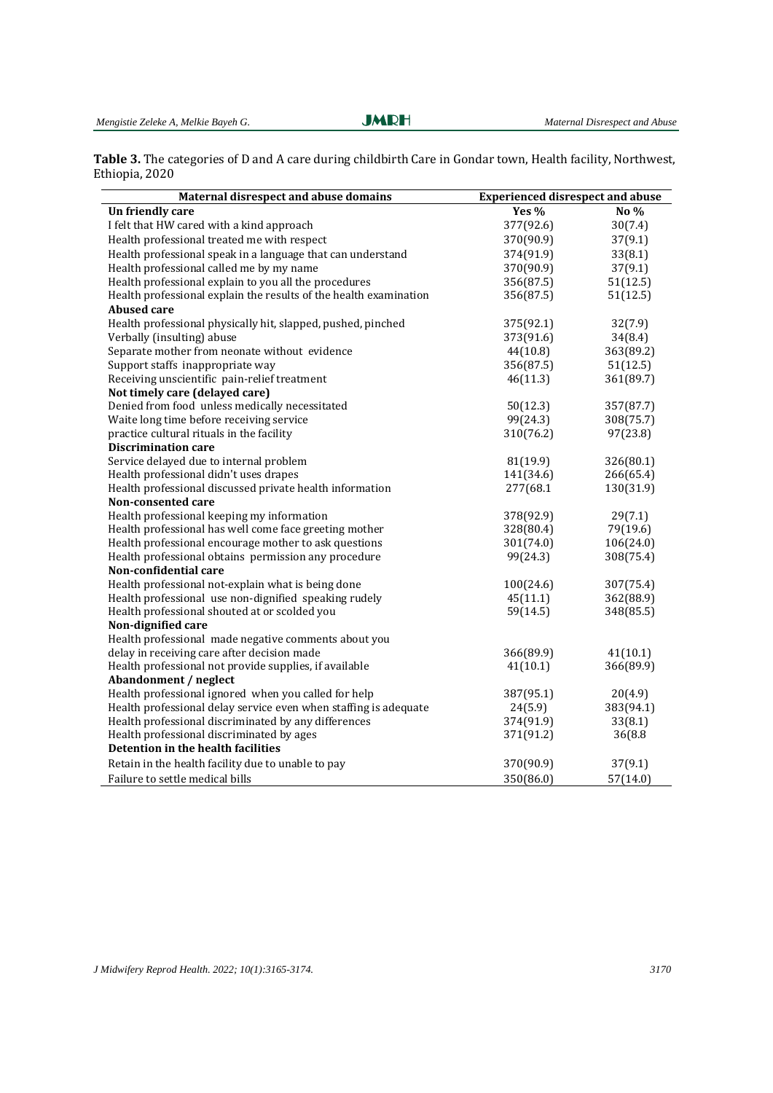Table 3. The categories of D and A care during childbirth Care in Gondar town, Health facility, Northwest, Ethiopia, 2020

| Maternal disrespect and abuse domains<br><b>Experienced disrespect and abuse</b> |           |           |
|----------------------------------------------------------------------------------|-----------|-----------|
| Un friendly care                                                                 | Yes %     | No %      |
| I felt that HW cared with a kind approach                                        | 377(92.6) | 30(7.4)   |
| Health professional treated me with respect                                      | 370(90.9) | 37(9.1)   |
| Health professional speak in a language that can understand                      | 374(91.9) | 33(8.1)   |
| Health professional called me by my name                                         | 370(90.9) | 37(9.1)   |
| Health professional explain to you all the procedures                            | 356(87.5) | 51(12.5)  |
| Health professional explain the results of the health examination                | 356(87.5) | 51(12.5)  |
| <b>Abused care</b>                                                               |           |           |
| Health professional physically hit, slapped, pushed, pinched                     | 375(92.1) | 32(7.9)   |
| Verbally (insulting) abuse                                                       | 373(91.6) | 34(8.4)   |
| Separate mother from neonate without evidence                                    | 44(10.8)  | 363(89.2) |
| Support staffs inappropriate way                                                 | 356(87.5) | 51(12.5)  |
| Receiving unscientific pain-relief treatment                                     | 46(11.3)  | 361(89.7) |
| Not timely care (delayed care)                                                   |           |           |
| Denied from food unless medically necessitated                                   | 50(12.3)  | 357(87.7) |
| Waite long time before receiving service                                         | 99(24.3)  | 308(75.7) |
| practice cultural rituals in the facility                                        | 310(76.2) | 97(23.8)  |
| <b>Discrimination care</b>                                                       |           |           |
| Service delayed due to internal problem                                          | 81(19.9)  | 326(80.1) |
| Health professional didn't uses drapes                                           | 141(34.6) | 266(65.4) |
| Health professional discussed private health information                         | 277(68.1  | 130(31.9) |
| Non-consented care                                                               |           |           |
| Health professional keeping my information                                       | 378(92.9) | 29(7.1)   |
| Health professional has well come face greeting mother                           | 328(80.4) | 79(19.6)  |
| Health professional encourage mother to ask questions                            | 301(74.0) | 106(24.0) |
| Health professional obtains permission any procedure                             | 99(24.3)  | 308(75.4) |
| Non-confidential care                                                            |           |           |
| Health professional not-explain what is being done                               | 100(24.6) | 307(75.4) |
| Health professional use non-dignified speaking rudely                            | 45(11.1)  | 362(88.9) |
| Health professional shouted at or scolded you                                    | 59(14.5)  | 348(85.5) |
| Non-dignified care                                                               |           |           |
| Health professional made negative comments about you                             |           |           |
| delay in receiving care after decision made                                      | 366(89.9) | 41(10.1)  |
| Health professional not provide supplies, if available                           | 41(10.1)  | 366(89.9) |
| Abandonment / neglect                                                            |           |           |
| Health professional ignored when you called for help                             | 387(95.1) | 20(4.9)   |
| Health professional delay service even when staffing is adequate                 | 24(5.9)   | 383(94.1) |
| Health professional discriminated by any differences                             | 374(91.9) | 33(8.1)   |
| Health professional discriminated by ages                                        | 371(91.2) | 36(8.8)   |
| Detention in the health facilities                                               |           |           |
| Retain in the health facility due to unable to pay                               | 370(90.9) | 37(9.1)   |
| Failure to settle medical bills                                                  | 350(86.0) | 57(14.0)  |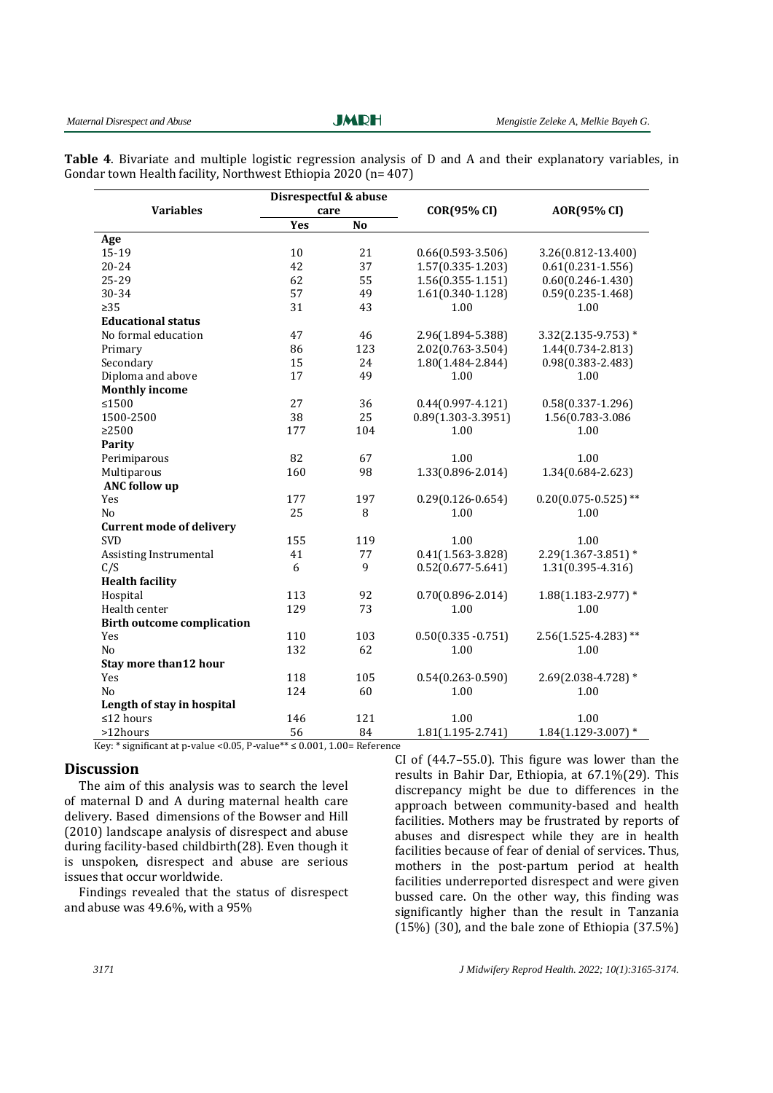**JMRH** 

**Table 4.** Bivariate and multiple logistic regression analysis of D and A and their explanatory variables, in Gondar town Health facility, Northwest Ethiopia 2020 ( $n=407$ )

|                                   | Disrespectful & abuse |                | <b>COR(95% CI)</b>     | AOR(95% CI)              |
|-----------------------------------|-----------------------|----------------|------------------------|--------------------------|
| <b>Variables</b>                  | care                  |                |                        |                          |
|                                   | Yes                   | N <sub>o</sub> |                        |                          |
| Age                               |                       |                |                        |                          |
| 15-19                             | 10                    | 21             | $0.66(0.593 - 3.506)$  | 3.26(0.812-13.400)       |
| $20 - 24$                         | 42                    | 37             | $1.57(0.335 - 1.203)$  | $0.61(0.231 - 1.556)$    |
| 25-29                             | 62                    | 55             | $1.56(0.355 - 1.151)$  | $0.60(0.246 - 1.430)$    |
| 30-34                             | 57                    | 49             | $1.61(0.340 - 1.128)$  | $0.59(0.235 - 1.468)$    |
| $\geq$ 35                         | 31                    | 43             | 1.00                   | 1.00                     |
| <b>Educational status</b>         |                       |                |                        |                          |
| No formal education               | 47                    | 46             | 2.96(1.894-5.388)      | $3.32(2.135 - 9.753)*$   |
| Primary                           | 86                    | 123            | 2.02(0.763-3.504)      | 1.44(0.734-2.813)        |
| Secondary                         | 15                    | 24             | 1.80(1.484-2.844)      | $0.98(0.383 - 2.483)$    |
| Diploma and above                 | 17                    | 49             | 1.00                   | 1.00                     |
| <b>Monthly income</b>             |                       |                |                        |                          |
| ≤1500                             | 27                    | 36             | $0.44(0.997 - 4.121)$  | $0.58(0.337 - 1.296)$    |
| 1500-2500                         | 38                    | 25             | $0.89(1.303 - 3.3951)$ | 1.56(0.783-3.086         |
| >2500                             | 177                   | 104            | 1.00                   | 1.00                     |
| Parity                            |                       |                |                        |                          |
| Perimiparous                      | 82                    | 67             | 1.00                   | 1.00                     |
| Multiparous                       | 160                   | 98             | 1.33(0.896-2.014)      | 1.34(0.684-2.623)        |
| <b>ANC</b> follow up              |                       |                |                        |                          |
| Yes                               | 177                   | 197            | $0.29(0.126 - 0.654)$  | $0.20(0.075 - 0.525)$ ** |
| N <sub>o</sub>                    | 25                    | 8              | 1.00                   | 1.00                     |
| <b>Current mode of delivery</b>   |                       |                |                        |                          |
| <b>SVD</b>                        | 155                   | 119            | 1.00                   | 1.00                     |
| Assisting Instrumental            | 41                    | 77             | $0.41(1.563 - 3.828)$  | $2.29(1.367 - 3.851)$ *  |
| C/S                               | 6                     | 9              | $0.52(0.677 - 5.641)$  | 1.31(0.395-4.316)        |
| <b>Health facility</b>            |                       |                |                        |                          |
| Hospital                          | 113                   | 92             | $0.70(0.896 - 2.014)$  | $1.88(1.183 - 2.977)*$   |
| Health center                     | 129                   | 73             | 1.00                   | 1.00                     |
| <b>Birth outcome complication</b> |                       |                |                        |                          |
| Yes                               | 110                   | 103            | $0.50(0.335 - 0.751)$  | $2.56(1.525 - 4.283)$ ** |
| No                                | 132                   | 62             | 1.00                   | 1.00                     |
| Stay more than 12 hour            |                       |                |                        |                          |
| Yes                               | 118                   | 105            | $0.54(0.263 - 0.590)$  | 2.69(2.038-4.728) *      |
| N <sub>o</sub>                    | 124                   | 60             | 1.00                   | 1.00                     |
| Length of stay in hospital        |                       |                |                        |                          |
| $\leq$ 12 hours                   | 146                   | 121            | 1.00                   | 1.00                     |
| >12hours                          | 56                    | 84             | 1.81(1.195-2.741)      | $1.84(1.129-3.007)*$     |

Key: \* significant at p-value <0.05, P-value\*\*  $\leq$  0.001, 1.00= Reference

### **Discussion**

The aim of this analysis was to search the level of maternal D and A during maternal health care delivery. Based dimensions of the Bowser and Hill  $(2010)$  landscape analysis of disrespect and abuse during facility-based childbirth(28). Even though it is unspoken, disrespect and abuse are serious issues that occur worldwide.

Findings revealed that the status of disrespect and abuse was  $49.6\%$ , with a  $95\%$ 

CI of  $(44.7-55.0)$ . This figure was lower than the results in Bahir Dar, Ethiopia, at  $67.1\frac{6}{29}$ . This discrepancy might be due to differences in the approach between community‐based and health facilities. Mothers may be frustrated by reports of abuses and disrespect while they are in health facilities because of fear of denial of services. Thus, mothers in the post-partum period at health facilities underreported disrespect and were given bussed care. On the other way, this finding was significantly higher than the result in Tanzania  $(15%)$  (30), and the bale zone of Ethiopia  $(37.5%)$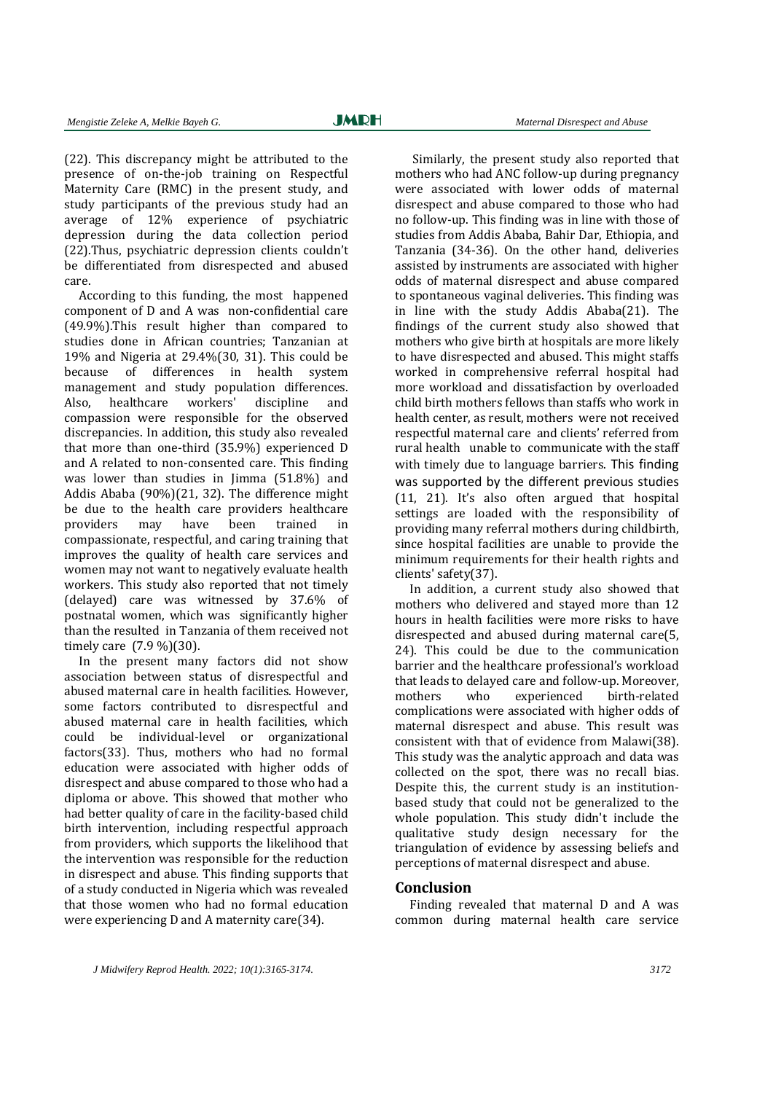(22). This discrepancy might be attributed to the presence of on-the-job training on Respectful Maternity Care (RMC) in the present study, and study participants of the previous study had an average of 12% experience of psychiatric depression during the data collection period (22).Thus, psychiatric depression clients couldn't be differentiated from disrespected and abused care. 

According to this funding, the most happened component of D and A was non-confidential care  $(49.9\%)$ .This result higher than compared to studies done in African countries: Tanzanian at 19% and Nigeria at  $29.4\%$  (30, 31). This could be because of differences in health system management and study population differences. Also, healthcare workers' discipline and compassion were responsible for the observed discrepancies. In addition, this study also revealed that more than one-third  $(35.9\%)$  experienced D and A related to non-consented care. This finding was lower than studies in  $\lim_{x \to 0}$  (51.8%) and Addis Ababa  $(90\%)$  $(21, 32)$ . The difference might be due to the health care providers healthcare providers may have been trained in compassionate, respectful, and caring training that improves the quality of health care services and women may not want to negatively evaluate health workers. This study also reported that not timely (delayed) care was witnessed by 37.6% of postnatal women, which was significantly higher than the resulted in Tanzania of them received not timely care  $(7.9\%)(30)$ .

In the present many factors did not show association between status of disrespectful and abused maternal care in health facilities. However, some factors contributed to disrespectful and abused maternal care in health facilities, which could be individual-level or organizational factors(33). Thus, mothers who had no formal education were associated with higher odds of disrespect and abuse compared to those who had a diploma or above. This showed that mother who had better quality of care in the facility-based child birth intervention, including respectful approach from providers, which supports the likelihood that the intervention was responsible for the reduction in disrespect and abuse. This finding supports that of a study conducted in Nigeria which was revealed that those women who had no formal education were experiencing  $D$  and  $A$  maternity care(34).

Similarly, the present study also reported that mothers who had ANC follow-up during pregnancy were associated with lower odds of maternal disrespect and abuse compared to those who had no follow-up. This finding was in line with those of studies from Addis Ababa, Bahir Dar, Ethiopia, and Tanzania (34-36). On the other hand, deliveries assisted by instruments are associated with higher odds of maternal disrespect and abuse compared to spontaneous vaginal deliveries. This finding was in line with the study Addis Ababa(21). The findings of the current study also showed that mothers who give birth at hospitals are more likely to have disrespected and abused. This might staffs worked in comprehensive referral hospital had more workload and dissatisfaction by overloaded child birth mothers fellows than staffs who work in health center, as result, mothers were not received respectful maternal care and clients' referred from rural health unable to communicate with the staff with timely due to language barriers. This finding was supported by the different previous studies (11, 21). It's also often argued that hospital settings are loaded with the responsibility of providing many referral mothers during childbirth, since hospital facilities are unable to provide the minimum requirements for their health rights and clients' safety(37).

In addition, a current study also showed that mothers who delivered and stayed more than 12 hours in health facilities were more risks to have disrespected and abused during maternal care(5, 24). This could be due to the communication barrier and the healthcare professional's workload that leads to delayed care and follow-up. Moreover, mothers who experienced birth-related complications were associated with higher odds of maternal disrespect and abuse. This result was consistent with that of evidence from Malawi(38). This study was the analytic approach and data was collected on the spot, there was no recall bias. Despite this, the current study is an institutionbased study that could not be generalized to the whole population. This study didn't include the qualitative study design necessary for the triangulation of evidence by assessing beliefs and perceptions of maternal disrespect and abuse.

#### **Conclusion**

Finding revealed that maternal D and A was common during maternal health care service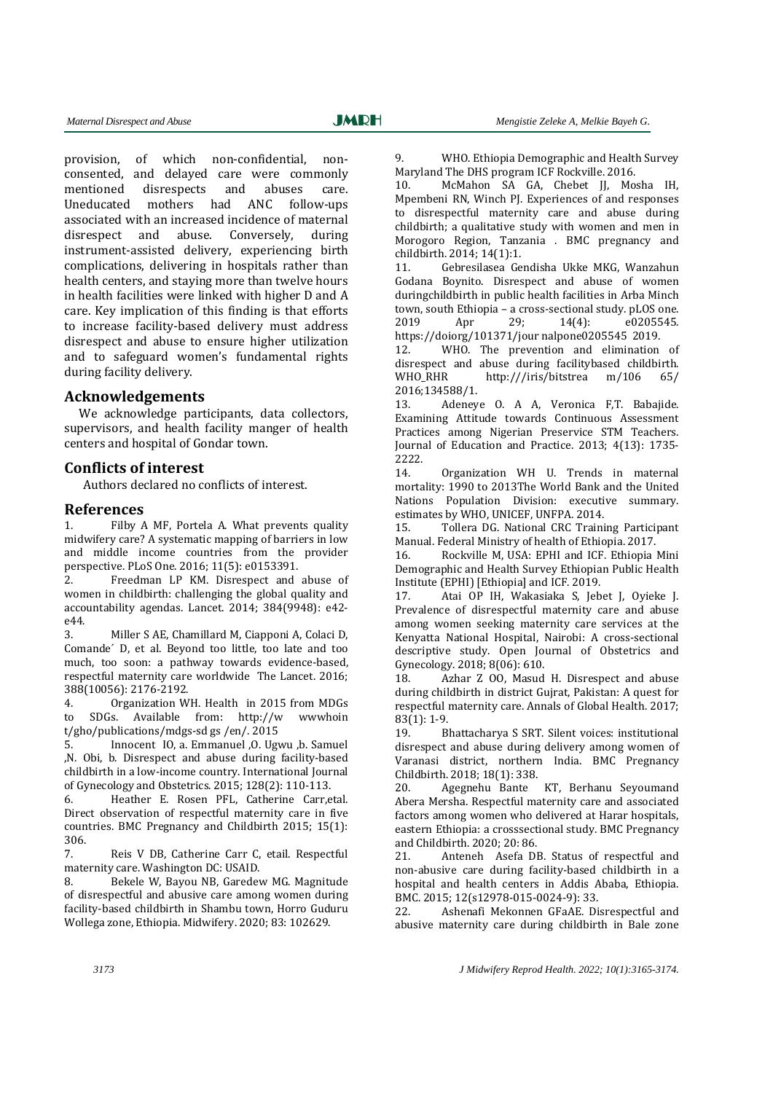provision, of which non-confidential, nonconsented, and delayed care were commonly mentioned disrespects and abuses care. Uneducated mothers had ANC follow‐ups associated with an increased incidence of maternal disrespect and abuse. Conversely, during instrument-assisted delivery, experiencing birth complications, delivering in hospitals rather than health centers, and staving more than twelve hours in health facilities were linked with higher D and A care. Key implication of this finding is that efforts to increase facility-based delivery must address disrespect and abuse to ensure higher utilization and to safeguard women's fundamental rights during facility delivery.

#### **Acknowledgements**

We acknowledge participants, data collectors, supervisors, and health facility manger of health centers and hospital of Gondar town.

## **Conflicts of interest**

Authors declared no conflicts of interest.

#### **References**

1. Filby A MF, Portela A. What prevents quality midwifery care? A systematic mapping of barriers in low and middle income countries from the provider perspective. PLoS One. 2016; 11(5): e0153391.

2. Freedman LP KM. Disrespect and abuse of women in childbirth: challenging the global quality and accountability agendas. Lancet. 2014: 384(9948): e42e44. 

3. Miller S AE, Chamillard M, Ciapponi A, Colaci D, Comande' D, et al. Beyond too little, too late and too much, too soon: a pathway towards evidence-based, respectful maternity care worldwide The Lancet. 2016; 388(10056): 2176-2192.

4. Organization WH. Health in 2015 from MDGs to SDGs. Available from: http://w wwwhoin t/gho/publications/mdgs-sd gs /en/. 2015

5. Innocent IO, a. Emmanuel , O. Ugwu , b. Samuel ,N. Obi, b. Disrespect and abuse during facility-based childbirth in a low-income country. International Journal of Gynecology and Obstetrics. 2015; 128(2): 110-113.

6. Heather E. Rosen PFL, Catherine Carr,etal. Direct observation of respectful maternity care in five countries. BMC Pregnancy and Childbirth 2015; 15(1): 306. 

7. Reis V DB, Catherine Carr C, etail. Respectful maternity care. Washington DC: USAID.

8. Bekele W, Bayou NB, Garedew MG. Magnitude of disrespectful and abusive care among women during facility-based childbirth in Shambu town, Horro Guduru Wollega zone, Ethiopia. Midwifery. 2020; 83: 102629.

9. WHO. Ethiopia Demographic and Health Survey Maryland The DHS program ICF Rockville. 2016.

10. McMahon SA GA, Chebet JJ, Mosha IH, Mpembeni RN, Winch PJ. Experiences of and responses to disrespectful maternity care and abuse during childbirth; a qualitative study with women and men in Morogoro Region, Tanzania . BMC pregnancy and childbirth. 2014; 14(1):1.

11. Gebresilasea Gendisha Ukke MKG, Wanzahun Godana Boynito. Disrespect and abuse of women duringchildbirth in public health facilities in Arba Minch town, south Ethiopia – a cross-sectional study. pLOS one. 2019 Apr 29; 14(4): e0205545. https://doiorg/101371/jour nalpone0205545 2019.

12. WHO. The prevention and elimination of disrespect and abuse during facilitybased childbirth. WHO\_RHR http:///iris/bitstrea m/106 65/ 2016;134588/1. 

13. Adeneye O. A A, Veronica F,T. Babajide. Examining Attitude towards Continuous Assessment Practices among Nigerian Preservice STM Teachers. Journal of Education and Practice. 2013; 4(13): 1735-2222. 

14. Organization WH U. Trends in maternal mortality: 1990 to 2013The World Bank and the United Nations Population Division: executive summary. estimates by WHO, UNICEF, UNFPA, 2014.

15. Tollera DG. National CRC Training Participant Manual. Federal Ministry of health of Ethiopia. 2017.

16. Rockville M, USA: EPHI and ICF. Ethiopia Mini Demographic and Health Survey Ethiopian Public Health Institute (EPHI) [Ethiopia] and ICF. 2019.

17. Atai OP IH, Wakasiaka S, Jebet J, Oyieke J. Prevalence of disrespectful maternity care and abuse among women seeking maternity care services at the Kenyatta National Hospital, Nairobi: A cross-sectional descriptive study. Open Journal of Obstetrics and Gynecology. 2018; 8(06): 610.

18. Azhar Z 00, Masud H. Disrespect and abuse during childbirth in district Guirat, Pakistan: A quest for respectful maternity care. Annals of Global Health. 2017;  $83(1): 1-9.$ 

19. Bhattacharya S SRT. Silent voices: institutional disrespect and abuse during delivery among women of Varanasi district, northern India. BMC Pregnancy Childbirth. 2018; 18(1): 338.

20. Agegnehu Bante KT, Berhanu Seyoumand Abera Mersha. Respectful maternity care and associated factors among women who delivered at Harar hospitals, eastern Ethiopia: a crosssectional study. BMC Pregnancy and Childbirth. 2020: 20: 86.

21. Anteneh Asefa DB. Status of respectful and non-abusive care during facility-based childbirth in a hospital and health centers in Addis Ababa, Ethiopia. BMC. 2015: 12(s12978-015-0024-9): 33.

22. Ashenafi Mekonnen GFaAE. Disrespectful and abusive maternity care during childbirth in Bale zone